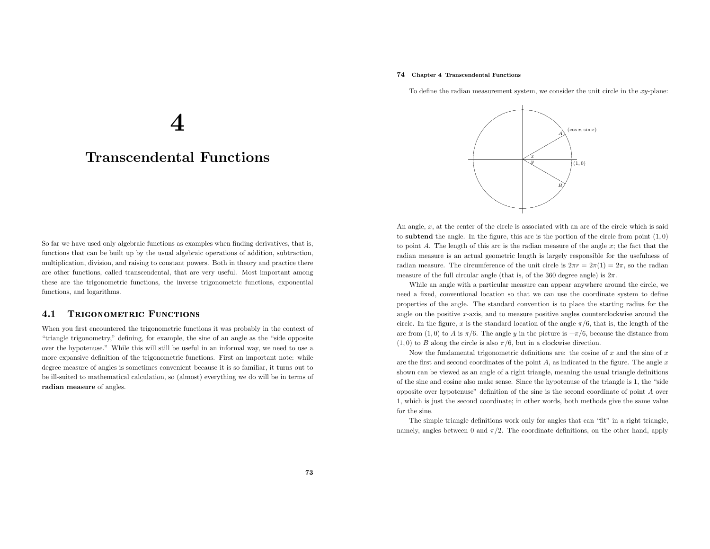## 74 Chapter <sup>4</sup> Transcendental Functions

To define the radian measurement system, we consider the unit circle in the  $xy$ -plane:

......................... ....... ....... ...... ...............

.. ..

A

 $(\cos x, \sin x)$ 



4

So far we have used only algebraic functions as examples when finding derivatives, that is, functions that can be built up by the usual algebraic operations of addition, subtraction, multiplication, division, and raising to constant powers. Both in theory and practice there are other functions, called transcendental, that are very useful. Most important among these are the trigonometric functions, the inverse trigonometric functions, exponential functions, and logarithms.

### 4.11 TRIGONOMETRIC FUNCTIONS

When you first encountered the trigonometric functions it was probably in the context of "triangle trigonometry," defining, for example, the sine of an angle as the "side opposite over the hypotenuse." While this will still be useful in an informal way, we need to use <sup>a</sup> more expansive definition of the trigonometric functions. First an important note: while degree measure of angles is sometimes convenient because it is so familiar, it turns out to be ill-suited to mathematical calculation, so (almost) everything we do will be in terms of radian measure of angles.



 to subtend the angle. In the figure, this arc is the portion of the circle from point (1, 0) to point A. The length of this arc is the radian measure of the angle  $x$ ; the fact that the radian measure is an actual geometric length is largely responsible for the usefulness of radian measure. The circumference of the unit circle is  $2\pi r = 2\pi(1) = 2\pi$ , so the radian measure of the full circular angle (that is, of the 360 degree angle) is  $2\pi$ .

While an angle with <sup>a</sup> particular measure can appear anywhere around the circle, we need <sup>a</sup> fixed, conventional location so that we can use the coordinate system to define properties of the angle. The standard convention is to <sup>p</sup>lace the starting radius for the angle on the positive <sup>x</sup>-axis, and to measure positive angles counterclockwise around the circle. In the figure, x is the standard location of the angle  $\pi/6$ , that is, the length of the arc from (1, 0) to A is  $\pi/6$ . The angle y in the picture is  $-\pi/6$ , because the distance from  $(1, 0)$  to B along the circle is also  $\pi/6$ , but in a clockwise direction.

Now the fundamental trigonometric definitions are: the cosine of  $x$  and the sine of  $x$ are the first and second coordinates of the point  $A$ , as indicated in the figure. The angle  $x$  shown can be viewed as an angle of <sup>a</sup> right triangle, meaning the usual triangle definitions of the sine and cosine also make sense. Since the hypotenuse of the triangle is 1, the "side opposite over hypotenuse" definition of the sine is the second coordinate of point <sup>A</sup> over 1, which is just the second coordinate; in other words, both methods <sup>g</sup>ive the same value for the sine.

The simple triangle definitions work only for angles that can "fit" in <sup>a</sup> right triangle, namely, angles between 0 and  $\pi/2$ . The coordinate definitions, on the other hand, apply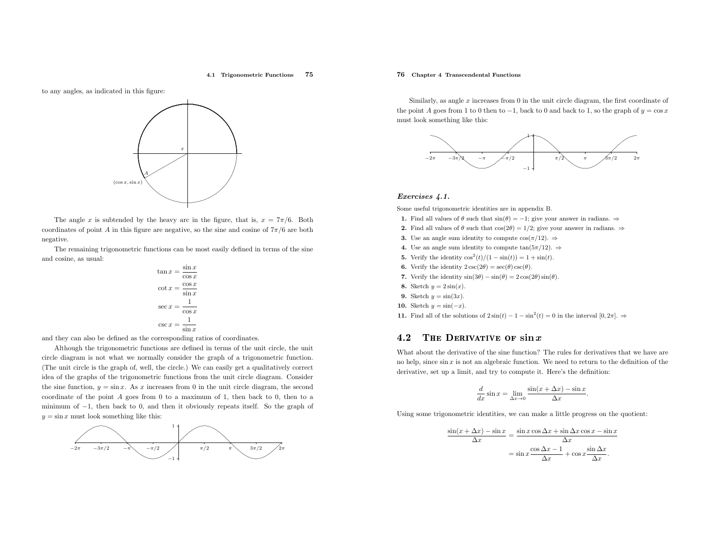### 4.1 Trigonometric Functions <sup>75</sup>

to any angles, as indicated in this figure:



The angle x is subtended by the heavy arc in the figure, that is,  $x = \frac{7\pi}{6}$ . Both coordinates of point A in this figure are negative, so the sine and cosine of  $7\pi/6$  are both negative.

The remaining trigonometric functions can be most easily defined in terms of the sine and cosine, as usual:

$$
\tan x = \frac{\sin x}{\cos x}
$$

$$
\cot x = \frac{\cos x}{\sin x}
$$

$$
\sec x = \frac{1}{\cos x}
$$

$$
\csc x = \frac{1}{\sin x}
$$

and they can also be defined as the corresponding ratios of coordinates.

Although the trigonometric functions are defined in terms of the unit circle, the unit circle diagram is not what we normally consider the grap<sup>h</sup> of <sup>a</sup> trigonometric function. (The unit circle is the grap<sup>h</sup> of, well, the circle.) We can easily get <sup>a</sup> qualitatively correct idea of the graphs of the trigonometric functions from the unit circle diagram. Consider the sine function,  $y = \sin x$ . As x increases from 0 in the unit circle diagram, the second coordinate of the point A goes from <sup>0</sup> to <sup>a</sup> maximum of 1, then back to 0, then to <sup>a</sup> minimum of <sup>−</sup>1, then back to 0, and then it obviously repeats itself. So the grap<sup>h</sup> of  $y = \sin x$  must look something like this:



## 76 Chapter <sup>4</sup> Transcendental Functions

Similarly, as angle  $x$  increases from  $0$  in the unit circle diagram, the first coordinate of the point A goes from 1 to 0 then to  $-1$ , back to 0 and back to 1, so the graph of  $y = \cos x$ must look something like this:



### Exercises 4.1.

Some useful trigonometric identities are in appendix B.

- **1.** Find all values of  $\theta$  such that  $\sin(\theta) = -1$ ; give your answer in radians. ⇒
- **2.** Find all values of  $\theta$  such that  $\cos(2\theta) = 1/2$ ; give your answer in radians.  $\Rightarrow$
- **3.** Use an angle sum identity to compute  $cos(\pi/12)$ .  $\Rightarrow$
- **4.** Use an angle sum identity to compute  $tan(5\pi/12)$ .  $\Rightarrow$
- **5.** Verify the identity  $\cos^2(t)/(1-\sin(t)) = 1 + \sin(t)$ .
- **6.** Verify the identity  $2 \csc(2\theta) = \sec(\theta) \csc(\theta)$ .
- 7. Verify the identity  $sin(3\theta) sin(\theta) = 2 cos(2\theta) sin(\theta)$ .
- 8. Sketch  $y = 2\sin(x)$ .
- **9.** Sketch  $y = \sin(3x)$ .
- **10.** Sketch  $y = \sin(-x)$ .
- 11. Find all of the solutions of  $2\sin(t) 1 \sin^2(t) = 0$  in the interval  $[0, 2\pi]$ . ⇒

### 4.2**2** THE DERIVATIVE OF  $\sin x$

What about the derivative of the sine function? The rules for derivatives that we have are no help, since  $\sin x$  is not an algebraic function. We need to return to the definition of the derivative, set up <sup>a</sup> limit, and try to compute it. Here's the definition:

$$
\frac{d}{dx}\sin x = \lim_{\Delta x \to 0} \frac{\sin(x + \Delta x) - \sin x}{\Delta x}.
$$

Using some trigonometric identities, we can make <sup>a</sup> little progress on the quotient:

$$
\frac{\sin(x + \Delta x) - \sin x}{\Delta x} = \frac{\sin x \cos \Delta x + \sin \Delta x \cos x - \sin x}{\Delta x}
$$

$$
= \sin x \frac{\cos \Delta x - 1}{\Delta x} + \cos x \frac{\sin \Delta x}{\Delta x}.
$$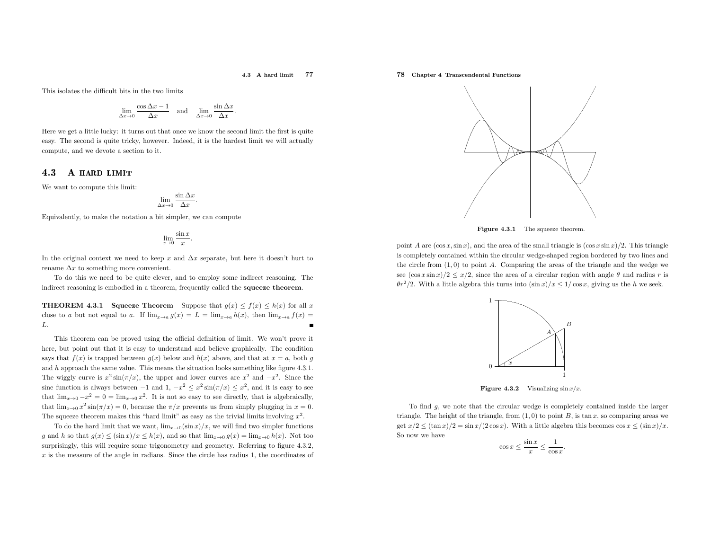### 4.3 <sup>A</sup> hard limit <sup>77</sup>

This isolates the difficult bits in the two limits

$$
\lim_{\Delta x \to 0} \frac{\cos \Delta x - 1}{\Delta x} \quad \text{and} \quad \lim_{\Delta x \to 0} \frac{\sin \Delta x}{\Delta x}.
$$

Here we get <sup>a</sup> little lucky: it turns out that once we know the second limit the first is quite easy. The second is quite tricky, however. Indeed, it is the hardest limit we will actuallycompute, and we devote <sup>a</sup> section to it.

## 4.3A hard limit

We want to compute this limit:

$$
\lim_{\Delta x \to 0} \frac{\sin \Delta x}{\Delta x}
$$

Equivalently, to make the notation <sup>a</sup> bit simpler, we can compute

$$
\lim_{x \to 0} \frac{\sin x}{x}
$$

In the original context we need to keep x and  $\Delta x$  separate, but here it doesn't hurt to rename  $\Delta x$  to something more convenient.

To do this we need to be quite clever, and to employ some indirect reasoning. The indirect reasoning is embodied in <sup>a</sup> theorem, frequently called the squeeze theorem.

**THEOREM 4.3.1 Squeeze Theorem** Suppose that  $g(x) \le f(x) \le h(x)$  for all x close to a but not equal to a. If  $\lim_{x\to a} g(x) = L = \lim_{x\to a} h(x)$ , then  $\lim_{x\to a} f(x) =$ L.

This theorem can be proved using the official definition of limit. We won't prove it here, but point out that it is easy to understand and believe graphically. The conditionsays that  $f(x)$  is trapped between  $g(x)$  below and  $h(x)$  above, and that at  $x = a$ , both g and <sup>h</sup> approac<sup>h</sup> the same value. This means the situation looks something like figure 4.3.1. The wiggly curve is  $x^2 \sin(\pi/x)$ , the upper and lower curves are  $x^2$  and  $-x^2$ . Since the sine function is always between  $-1$  and  $1, -x^2 \le x^2 \sin(\pi/x) \le x^2$ , and it is easy to see that  $\lim_{x\to 0} -x^2 = 0 = \lim_{x\to 0} x^2$ . It is not so easy to see directly, that is algebraically, that  $\lim_{x\to 0} x^2 \sin(\pi/x) = 0$ , because the  $\pi/x$  prevents us from simply plugging in  $x = 0$ . The squeeze theorem makes this "hard limit" as easy as the trivial limits involving  $x^2$ .

To do the hard limit that we want,  $\lim_{x\to 0} (\sin x)/x$ , we will find two simpler functions g and h so that  $g(x) \le (\sin x)/x \le h(x)$ , and so that  $\lim_{x\to 0} g(x) = \lim_{x\to 0} h(x)$ . Not too surprisingly, this will require some trigonometry and geometry. Referring to figure 4.3.2,  $x$  is the measure of the angle in radians. Since the circle has radius 1, the coordinates of

# 78 Chapter <sup>4</sup> Transcendental Functions



**Figure 4.3.1** The squeeze theorem.

point A are  $(\cos x, \sin x)$ , and the area of the small triangle is  $(\cos x \sin x)/2$ . This triangle is completely contained within the circular wedge-shaped region bordered by two lines and the circle from (1, 0) to point <sup>A</sup>. Comparing the areas of the triangle and the wedge we see  $(\cos x \sin x)/2 \leq x/2$ , since the area of a circular region with angle  $\theta$  and radius r is  $\theta r^2/2$ . With a little algebra this turns into  $(\sin x)/x \leq 1/\cos x$ , giving us the h we seek.



**Figure 4.3.2** Visualizing  $\sin x/x$ .

To find <sup>g</sup>, we note that the circular wedge is completely contained inside the larger triangle. The height of the triangle, from  $(1,0)$  to point B, is tan x, so comparing areas we get  $x/2 \leq (\tan x)/2 = \sin x/(2 \cos x)$ . With a little algebra this becomes  $\cos x \leq (\sin x)/x$ . So now we have

$$
\cos x \le \frac{\sin x}{x} \le \frac{1}{\cos x}.
$$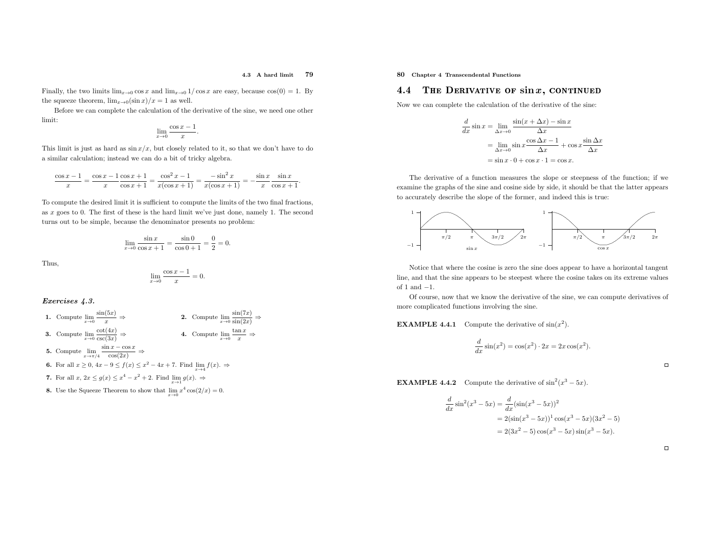### 4.3 <sup>A</sup> hard limit <sup>79</sup>

Finally, the two limits  $\lim_{x\to 0} \cos x$  and  $\lim_{x\to 0} 1/\cos x$  are easy, because  $\cos(0) = 1$ . By the squeeze theorem,  $\lim_{x\to 0} (\sin x)/x = 1$  as well.

Before we can complete the calculation of the derivative of the sine, we need one other limit:

$$
\lim_{x \to 0} \frac{\cos x - 1}{x}.
$$

This limit is just as hard as  $\sin x/x$ , but closely related to it, so that we don't have to do <sup>a</sup> similar calculation; instead we can do <sup>a</sup> bit of tricky algebra.

$$
\frac{\cos x - 1}{x} = \frac{\cos x - 1}{x} \frac{\cos x + 1}{\cos x + 1} = \frac{\cos^2 x - 1}{x(\cos x + 1)} = \frac{-\sin^2 x}{x(\cos x + 1)} = -\frac{\sin x}{x} \frac{\sin x}{\cos x + 1}.
$$

To compute the desired limit it is sufficient to compute the limits of the two final fractions, as <sup>x</sup> goes to 0. The first of these is the hard limit we've just done, namely 1. The second turns out to be simple, because the denominator presents no problem:

$$
\lim_{x \to 0} \frac{\sin x}{\cos x + 1} = \frac{\sin 0}{\cos 0 + 1} = \frac{0}{2} = 0.
$$

Thus,

$$
\lim_{x \to 0} \frac{\cos x - 1}{x} = 0.
$$

### Exercises 4.3.

\n- **1.** Compute 
$$
\lim_{x \to 0} \frac{\sin(5x)}{x} \Rightarrow
$$
\n- **2.** Compute  $\lim_{x \to 0} \frac{\sin(7x)}{\sin(2x)} \Rightarrow$
\n- **3.** Compute  $\lim_{x \to 0} \frac{\cot(4x)}{\csc(3x)} \Rightarrow$
\n- **4.** Compute  $\lim_{x \to 0} \frac{\tan x}{x} \Rightarrow$
\n- **5.** Compute  $\lim_{x \to \pi/4} \frac{\sin x - \cos x}{\cos(2x)} \Rightarrow$
\n- **6.** For all  $x \geq 0$ ,  $4x - 9 \leq f(x) \leq x^2 - 4x + 7$ . Find  $\lim_{x \to 4} f(x)$ .  $\Rightarrow$
\n- **7.** For all  $x$ ,  $2x \leq g(x) \leq x^4 - x^2 + 2$ . Find  $\lim_{x \to 1} g(x)$ .  $\Rightarrow$
\n- **8.** Use the Squeez Theorem to show that  $\lim_{x \to 0} x^4 \cos(2/x) = 0$ .
\n

# 80 Chapter <sup>4</sup> Transcendental Functions

### 4.4**4** THE DERIVATIVE OF  $\sin x$ , CONTINUED

Now we can complete the calculation of the derivative of the sine:

$$
\frac{d}{dx}\sin x = \lim_{\Delta x \to 0} \frac{\sin(x + \Delta x) - \sin x}{\Delta x}
$$

$$
= \lim_{\Delta x \to 0} \sin x \frac{\cos \Delta x - 1}{\Delta x} + \cos x \frac{\sin \Delta x}{\Delta x}
$$

$$
= \sin x \cdot 0 + \cos x \cdot 1 = \cos x.
$$

The derivative of <sup>a</sup> function measures the slope or steepness of the function; if we examine the graphs of the sine and cosine side by side, it should be that the latter appears to accurately describe the slope of the former, and indeed this is true:



Notice that where the cosine is zero the sine does appear to have <sup>a</sup> horizontal tangent line, and that the sine appears to be steepest where the cosine takes on its extreme values of <sup>1</sup> and−1.

 Of course, now that we know the derivative of the sine, we can compute derivatives of more complicated functions involving the sine.

**EXAMPLE 4.4.1** Compute the derivative of  $sin(x^2)$ .

$$
\frac{d}{dx}\sin(x^2) = \cos(x^2) \cdot 2x = 2x\cos(x^2).
$$

**EXAMPLE 4.4.2** Compute the derivative of  $\sin^2(x^3 - 5x)$ .

$$
\frac{d}{dx}\sin^2(x^3 - 5x) = \frac{d}{dx}(\sin(x^3 - 5x))^2
$$
  
= 2(\sin(x^3 - 5x))^1 \cos(x^3 - 5x)(3x^2 - 5)  
= 2(3x^2 - 5)\cos(x^3 - 5x)\sin(x^3 - 5x).

 $\Box$ 

 $\Box$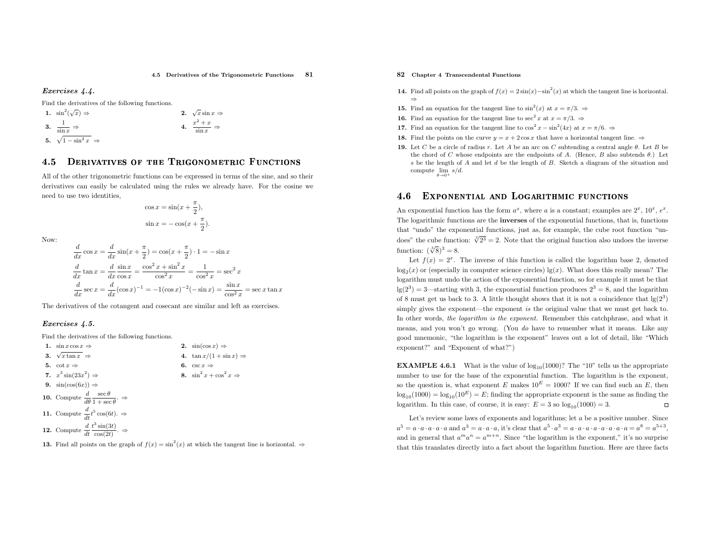$rac{c^2+x}{\sin x} \Rightarrow$ 

## Exercises 4.4.

Find the derivatives of the following functions.

1. 
$$
\sin^2(\sqrt{x}) \Rightarrow
$$
  
\n2.  $\sqrt{x} \sin x \Rightarrow$   
\n3.  $\frac{1}{\sin x} \Rightarrow$   
\n4.  $\frac{x^2 + x}{\sin x} \Rightarrow$   
\n5.  $\sqrt{1 - \sin^2 x} \Rightarrow$ 

### 4.55 DERIVATIVES OF THE TRIGONOMETRIC FUNCTIONS

All of the other trigonometric functions can be expressed in terms of the sine, and so their derivatives can easily be calculated using the rules we already have. For the cosine we need to use two identities,

$$
\cos x = \sin(x + \frac{\pi}{2}),
$$
  

$$
\sin x = -\cos(x + \frac{\pi}{2}).
$$

Now:

$$
\frac{d}{dx}\cos x = \frac{d}{dx}\sin(x + \frac{\pi}{2}) = \cos(x + \frac{\pi}{2}) \cdot 1 = -\sin x
$$
  

$$
\frac{d}{dx}\tan x = \frac{d}{dx}\frac{\sin x}{\cos x} = \frac{\cos^2 x + \sin^2 x}{\cos^2 x} = \frac{1}{\cos^2 x} = \sec^2 x
$$
  

$$
\frac{d}{dx}\sec x = \frac{d}{dx}(\cos x)^{-1} = -1(\cos x)^{-2}(-\sin x) = \frac{\sin x}{\cos^2 x} = \sec x \tan x
$$

The derivatives of the cotangent and cosecant are similar and left as exercises.

## Exercises 4.5.

Find the derivatives of the following functions.

| 1. $\sin x \cos x \Rightarrow$                                               |    | 2. $\sin(\cos x) \Rightarrow$        |
|------------------------------------------------------------------------------|----|--------------------------------------|
| 3. $\sqrt{x} \tan x \Rightarrow$                                             |    | 4. $\tan x/(1+\sin x) \Rightarrow$   |
| 5. $\cot x \Rightarrow$                                                      | 6. | $\csc x \Rightarrow$                 |
| 7. $x^3 \sin(23x^2) \Rightarrow$                                             |    | 8. $\sin^2 x + \cos^2 x \Rightarrow$ |
| 9. $sin(cos(6x)) \Rightarrow$                                                |    |                                      |
| <b>10.</b> Compute $\frac{d}{d\theta} \frac{\sec \theta}{1 + \sec \theta}$ . |    |                                      |
| 11. Compute $\frac{d}{dt}t^5\cos(6t)$ . $\Rightarrow$                        |    |                                      |
| <b>12.</b> Compute $\frac{d}{dt} \frac{t^3 \sin(3t)}{\cos(2t)}$ .            |    |                                      |
|                                                                              |    |                                      |

**13.** Find all points on the graph of  $f(x) = \sin^2(x)$  at which the tangent line is horizontal.  $\Rightarrow$ 

- 82 Chapter <sup>4</sup> Transcendental Functions
- **14.** Find all points on the graph of  $f(x) = 2\sin(x) \sin^2(x)$  at which the tangent line is horizontal. ⇒
- **15.** Find an equation for the tangent line to  $\sin^2(x)$  at  $x = \pi/3$ .  $\Rightarrow$
- **16.** Find an equation for the tangent line to  $\sec^2 x$  at  $x = \pi/3$ .  $\Rightarrow$
- **17.** Find an equation for the tangent line to  $\cos^2 x \sin^2(4x)$  at  $x = \pi/6$ .  $\Rightarrow$
- **18.** Find the points on the curve  $y = x + 2\cos x$  that have a horizontal tangent line.  $\Rightarrow$
- **19.** Let C be a circle of radius r. Let A be an arc on C subtending a central angle  $\theta$ . Let B be the close of  $\mathcal{L}$  (Here  $\mathcal{L}$  Belgie and the close of  $\mathcal{L}$ ) and  $\mathcal{L}$ the chord of C whose endpoints are the endpoints of A. (Hence,  $B$  also subtends  $\theta$ .) Let s be the length of  $A$  and let  $d$  be the length of  $B$ . Sketch a diagram of the situation and compute  $\lim_{\theta \to 0^+} s/d$ .  $\theta \rightarrow 0^+$

### 4.66 Exponential and Logarithmic functions

An exponential function has the form  $a^x$ , where a is a constant; examples are  $2^x$ ,  $10^x$ ,  $e^x$ . The logarithmic functions are the inverses of the exponential functions, that is, functions that "undo" the exponential functions, just as, for example, the cube root function "undoes" the cube function:  $\sqrt[3]{2^3} = 2$ . Note that the original function also undoes the inverse function:  $(\sqrt[3]{8})^3 = 8$ .

Let  $f(x) = 2^x$ . The inverse of this function is called the logarithm base 2, denoted  $log_2(x)$  or (especially in computer science circles) lg(x). What does this really mean? The logarithm must undo the action of the exponential function, so for example it must be that  $\lg(2^3) = 3$ —starting with 3, the exponential function produces  $2^3 = 8$ , and the logarithm of 8 must get us back to 3. A little thought shows that it is not a coincidence that  $\lg(2^3)$  simply <sup>g</sup>ives the exponent—the exponent is the original value that we must get back to. In other words, the logarithm is the exponent. Remember this catchphrase, and what it means, and you won't go wrong. (You do have to remember what it means. Like any good mnemonic, "the logarithm is the exponent" leaves out <sup>a</sup> lot of detail, like "Whichexponent?" and "Exponent of what?")

**EXAMPLE 4.6.1** What is the value of  $log_{10}(1000)$ ? The "10" tells us the appropriate number to use for the base of the exponential function. The logarithm is the exponent, so the question is, what exponent  $E$  makes  $10^E = 1000$ ? If we can find such an  $E$ , then  $log_{10}(1000) = log_{10}(10<sup>E</sup>) = E$ ; finding the appropriate exponent is the same as finding the logarithm. In this case, of course, it is easy:  $E = 3$  so  $\log_{10}(1000) = 3$ .  $\Box$ 

Let's review some laws of exponents and logarithms; let a be a positive number. Since  $a^5 = a \cdot a \cdot a \cdot a \cdot a$  and  $a^3 = a \cdot a \cdot a$ , it's clear that  $a^5 \cdot a^3 = a \cdot a \cdot a \cdot a \cdot a \cdot a \cdot a \cdot a = a^8 = a^{5+3}$ ,  $a^{\circ} = a \cdot a \cdot a \cdot a$  and  $a^{\circ} = a \cdot a \cdot a$ , it's clear that  $a^{\circ} \cdot a^{\circ} = a \cdot a \cdot a \cdot a \cdot a \cdot a \cdot a \cdot a = a^{\circ} = a^{\circ \circ},$ <br>and in general that  $a^m a^n = a^{m+n}$ . Since "the logarithm is the exponent," it's no surprise that this translates directly into <sup>a</sup> fact about the logarithm function. Here are three facts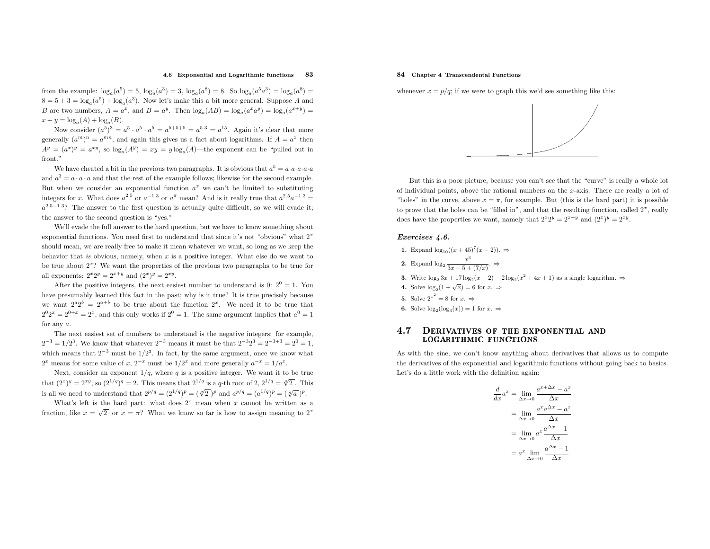### 4.6 Exponential and Logarithmic functions <sup>83</sup>

from the example:  $\log_a(a^5) = 5$ ,  $\log_a(a^3) = 3$ ,  $\log_a(a^8) = 8$ . So  $\log_a(a^5a^3) = \log_a(a^8) =$  $8 = 5 + 3 = \log_a(a^5) + \log_a(a^3)$ . Now let's make this a bit more general. Suppose A and B are two numbers,  $A = a^x$ , and  $B = a^y$ . Then  $\log_a(AB) = \log_a(a^x a^y) = \log_a(a^{x+y}) =$  $x + y = log<sub>a</sub>(A) + log<sub>a</sub>(B).$ 

Now consider  $(a^5)^3 = a^5 \cdot a^5 \cdot a^5 = a^{5+5+5} = a^{5\cdot 3} = a^{15}$ . Again it's clear that more generally  $(a^m)^n = a^{mn}$ , and again this gives us a fact about logarithms. If  $A = a^x$  then  $A^y = (a^x)^y = a^{xy}$ , so  $\log_a(A^y) = xy = y \log_a(A)$ —the exponent can be "pulled out in front."

We have cheated a bit in the previous two paragraphs. It is obvious that  $a^5 = a \cdot a \cdot a \cdot a \cdot a$ and  $a^3 = a \cdot a \cdot a$  and that the rest of the example follows; likewise for the second example. But when we consider an exponential function  $a^x$  we can't be limited to substituting integers for x. What does  $a^{2.5}$  or  $a^{-1.3}$  or  $a^{\pi}$  mean? And is it really true that  $a^{2.5}a^{-1.3}$  =  $a^{2.5-1.3}$ ? The answer to the first question is actually quite difficult, so we will evade it; the answer to the second question is "yes."

We'll evade the full answer to the hard question, but we have to know something about exponential functions. You need first to understand that since it's not "obvious" what  $2<sup>x</sup>$ should mean, we are really free to make it mean whatever we want, so long as we keep the behavior that is obvious, namely, when  $x$  is a positive integer. What else do we want to be true about  $2<sup>x</sup>$ ? We want the properties of the previous two paragraphs to be true for all exponents:  $2^{x}2^{y} = 2^{x+y}$  and  $(2^{x})^{y} = 2^{xy}$ .

After the positive integers, the next easiest number to understand is 0:  $2^0 = 1$ . You have presumably learned this fact in the past; why is it true? It is true precisely because we want  $2^a 2^b = 2^{a+b}$  to be true about the function  $2^x$ . We need it to be true that  $2^{0}2^{x} = 2^{0+x} = 2^{x}$ , and this only works if  $2^{0} = 1$ . The same argument implies that  $a^{0} = 1$ for any  $a$ .

The next easiest set of numbers to understand is the negative integers: for example,  $2^{-3} = 1/2^3$ . We know that whatever  $2^{-3}$  means it must be that  $2^{-3}2^3 = 2^{-3+3} = 2^0 = 1$ , which means that  $2^{-3}$  must be  $1/2^3$ . In fact, by the same argument, once we know what  $2^x$  means for some value of x,  $2^{-x}$  must be  $1/2^x$  and more generally  $a^{-x} = 1/a^x$ .

Next, consider an exponent  $1/q$ , where q is a positive integer. We want it to be true that  $(2^x)^y = 2^{xy}$ , so  $(2^{1/q})^q = 2$ . This means that  $2^{1/q}$  is a q-th root of 2,  $2^{1/q} = \sqrt[q]{2}$ . This is all we need to understand that  $2^{p/q} = (2^{1/q})^p = (\sqrt[q]{2})^p$  and  $a^{p/q} = (a^{1/q})^p = (\sqrt[q]{a})^p$ .

What's left is the hard part: what does  $2^x$  mean when x cannot be written as a fraction, like  $x = \sqrt{2}$  or  $x = \pi$ ? What we know so far is how to assign meaning to  $2^x$ 

## 84 Chapter <sup>4</sup> Transcendental Functions

whenever  $x = p/q$ ; if we were to graph this we'd see something like this:



But this is <sup>a</sup> poor <sup>p</sup>icture, because you can't see that the "curve" is really <sup>a</sup> whole lot of individual points, above the rational numbers on the x-axis. There are really a lot of "holes" in the curve, above  $x = \pi$ , for example. But (this is the hard part) it is possible to prove that the holes can be "filled in", and that the resulting function, called  $2<sup>x</sup>$ , really does have the properties we want, namely that  $2^{x}2^{y} = 2^{x+y}$  and  $(2^{x})^{y} = 2^{xy}$ .

### Exercises 4.6.

| 1. Expand $\log_{10}((x+45)^{7}(x-2))$ . $\Rightarrow$                                                       |
|--------------------------------------------------------------------------------------------------------------|
| 2. Expand $\log_2 \frac{x}{3x-5+(7/x)}$ . $\Rightarrow$                                                      |
| <b>3.</b> Write $\log_2 3x + 17 \log_2 (x-2) - 2 \log_2 (x^2 + 4x + 1)$ as a single logarithm. $\Rightarrow$ |
| 4. Solve $\log_2(1+\sqrt{x})=6$ for $x \Rightarrow$                                                          |
| <b>5.</b> Solve $2^{x^2} = 8$ for $x \Rightarrow$                                                            |
| <b>6.</b> Solve $\log_2(\log_3(x)) = 1$ for $x \Rightarrow$                                                  |
|                                                                                                              |

### 4.77 DERIVATIVES OF THE EXPONENTIAL AND LOGARITHMIC FUNCTIONS

As with the sine, we don't know anything about derivatives that allows us to compute the derivatives of the exponential and logarithmic functions without going back to basics. Let's do <sup>a</sup> little work with the definition again:

$$
\frac{d}{dx}a^x = \lim_{\Delta x \to 0} \frac{a^{x + \Delta x} - a^x}{\Delta x}
$$

$$
= \lim_{\Delta x \to 0} \frac{a^x a^{\Delta x} - a^x}{\Delta x}
$$

$$
= \lim_{\Delta x \to 0} a^x \frac{a^{\Delta x} - 1}{\Delta x}
$$

$$
= a^x \lim_{\Delta x \to 0} \frac{a^{\Delta x} - 1}{\Delta x}
$$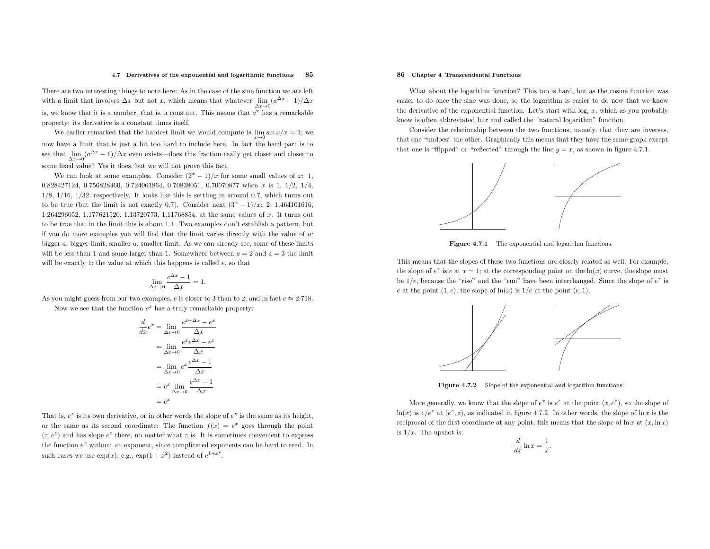### 4.7 Derivatives of the exponential and logarithmic functions <sup>85</sup>

There are two interesting things to note here: As in the case of the sine function we are left with a limit that involves  $\Delta x$  but not x, which means that whatever  $\lim_{\Delta x\to 0} (a^{\Delta x} - 1)/\Delta x$ is, we know that it is a number, that is, a constant. This means that  $a^x$  has a remarkable property: its derivative is <sup>a</sup> constant times itself.

We earlier remarked that the hardest limit we would compute is  $\lim_{x\to 0} \sin x/x = 1$ ; we now have <sup>a</sup> limit that is just <sup>a</sup> bit too hard to include here. In fact the hard part is to see that  $\lim_{\Delta x \to 0} (a)$  some fixed value? Yes it does, but we will not prove this fact.  $\frac{\Delta x}{x} - 1$ / $\Delta x$  even exists—does this fraction really get closer and closer to

We can look at some examples. Consider  $(2^x - 1)/x$  for some small values of x: 1, <sup>0</sup>.828427124, <sup>0</sup>.756828460, <sup>0</sup>.724061864, <sup>0</sup>.70838051, <sup>0</sup>.<sup>70070877</sup> when <sup>x</sup> is 1, <sup>1</sup>/2, <sup>1</sup>/4,  $1/8$ ,  $1/16$ ,  $1/32$ , respectively. It looks like this is settling in around 0.7, which turns out to be true (but the limit is not exactly 0.7). Consider next  $(3^x - 1)/x$ : 2, 1.464101616, <sup>1</sup>.264296052, <sup>1</sup>.177621520, <sup>1</sup>.13720773, <sup>1</sup>.11768854, at the same values of <sup>x</sup>. It turns out to be true that in the limit this is about <sup>1</sup>.1. Two examples don't establish <sup>a</sup> pattern, but if you do more examples you will find that the limit varies directly with the value of <sup>a</sup>: bigger  $a$ , bigger limit; smaller  $a$ , smaller limit. As we can already see, some of these limits will be less than 1 and some larger than 1. Somewhere between  $a = 2$  and  $a = 3$  the limit will be exactly 1; the value at which this happens is called  $e$ , so that

$$
\lim_{\Delta x \to 0} \frac{e^{\Delta x} - 1}{\Delta x} = 1.
$$

As you might guess from our two examples, e is closer to 3 than to 2, and in fact  $e \approx 2.718$ . Now we see that the function  $e^x$  has a truly remarkable property:

$$
\frac{d}{dx}e^x = \lim_{\Delta x \to 0} \frac{e^{x + \Delta x} - e^x}{\Delta x}
$$

$$
= \lim_{\Delta x \to 0} \frac{e^x e^{\Delta x} - e^x}{\Delta x}
$$

$$
= \lim_{\Delta x \to 0} e^x \frac{e^{\Delta x} - 1}{\Delta x}
$$

$$
= e^x \lim_{\Delta x \to 0} \frac{e^{\Delta x} - 1}{\Delta x}
$$

$$
= e^x
$$

That is,  $e^x$  is its own derivative, or in other words the slope of  $e^x$  is the same as its height, or the same as its second coordinate: The function  $f(x) = e^x$  goes through the point  $(z, e^z)$  and has slope  $e^z$  there, no matter what z is. It is sometimes convenient to express the function  $e^x$  without an exponent, since complicated exponents can be hard to read. In such cases we use  $\exp(x)$ , e.g.,  $\exp(1+x^2)$  instead of  $e^{1+x^2}$ .

## 86 Chapter <sup>4</sup> Transcendental Functions

What about the logarithm function? This too is hard, but as the cosine function was easier to do once the sine was done, so the logarithm is easier to do now that we knowthe derivative of the exponential function. Let's start with  $\log_e x$ , which as you probably know is often abbreviated  $\ln x$  and called the "natural logarithm" function.

Consider the relationship between the two functions, namely, that they are inverses, that one "undoes" the other. Graphically this means that they have the same grap<sup>h</sup> except that one is "flipped" or "reflected" through the line  $y = x$ , as shown in figure 4.7.1.



**Figure 4.7.1** The exponential and logarithm functions.

This means that the slopes of these two functions are closely related as well: For example, the slope of  $e^x$  is e at  $x = 1$ ; at the corresponding point on the  $\ln(x)$  curve, the slope must be  $1/e$ , because the "rise" and the "run" have been interchanged. Since the slope of  $e^x$  is e at the point  $(1, e)$ , the slope of  $\ln(x)$  is  $1/e$  at the point  $(e, 1)$ .



Figure 4.7.2 Slope of the exponential and logarithm functions.

More generally, we know that the slope of  $e^x$  is  $e^z$  at the point  $(z, e^z)$ , so the slope of  $ln(x)$  is  $1/e^z$  at  $(e^z, z)$ , as indicated in figure 4.7.2. In other words, the slope of  $ln x$  is the reciprocal of the first coordinate at any point; this means that the slope of  $\ln x$  at  $(x, \ln x)$ is  $1/x$ . The upshot is:

$$
\frac{d}{dx}\ln x = \frac{1}{x}.
$$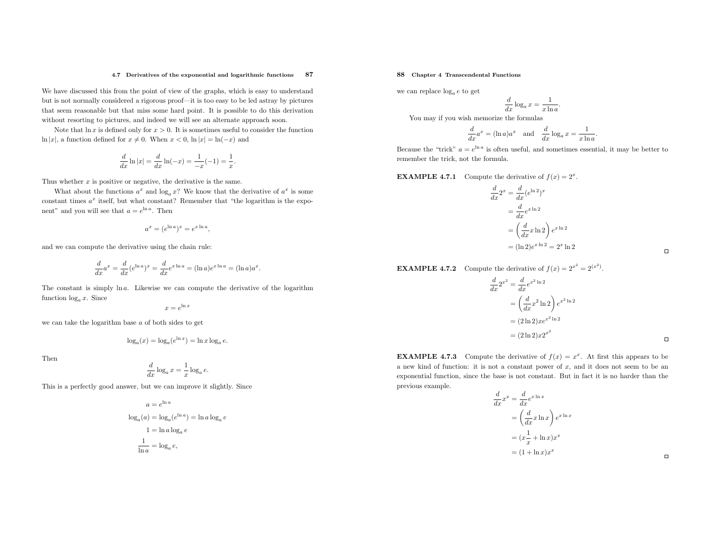### 4.7 Derivatives of the exponential and logarithmic functions <sup>87</sup>

We have discussed this from the point of view of the graphs, which is easy to understand but is not normally considered <sup>a</sup> rigorous proof—it is too easy to be led astray by <sup>p</sup>ictures that seem reasonable but that miss some hard point. It is possible to do this derivationwithout resorting to <sup>p</sup>ictures, and indeed we will see an alternate approac<sup>h</sup> soon.

Note that  $\ln x$  is defined only for  $x > 0$ . It is sometimes useful to consider the function ln |x|, a function defined for  $x \neq 0$ . When  $x < 0$ , ln  $|x| = \ln(-x)$  and

$$
\frac{d}{dx}\ln|x| = \frac{d}{dx}\ln(-x) = \frac{1}{-x}(-1) = \frac{1}{x}.
$$

Thus whether  $x$  is positive or negative, the derivative is the same.

What about the functions  $a^x$  and  $\log_a x$ ? We know that the derivative of  $a^x$  is some constant times  $a^x$  itself, but what constant? Remember that "the logarithm is the exponent" and you will see that  $a = e^{\ln a}$ . Then

$$
a^x = (e^{\ln a})^x = e^{x \ln a},
$$

and we can compute the derivative using the chain rule:

$$
\frac{d}{dx}a^x = \frac{d}{dx}(e^{\ln a})^x = \frac{d}{dx}e^{x\ln a} = (\ln a)e^{x\ln a} = (\ln a)a^x.
$$

The constant is simply ln <sup>a</sup>. Likewise we can compute the derivative of the logarithmfunction  $log_a x$ . Since

$$
x = e^{\ln x}
$$

we can take the logarithm base <sup>a</sup> of both sides to get

$$
\log_a(x) = \log_a(e^{\ln x}) = \ln x \log_a e.
$$

Then

$$
\frac{d}{dx}\log_a x = \frac{1}{x}\log_a e.
$$

This is <sup>a</sup> perfectly good answer, but we can improve it slightly. Since

$$
a = e^{\ln a}
$$
  

$$
\log_a(a) = \log_a(e^{\ln a}) = \ln a \log_a e
$$
  

$$
1 = \ln a \log_a e
$$
  

$$
\frac{1}{\ln a} = \log_a e,
$$

# 88 Chapter <sup>4</sup> Transcendental Functions

we can replace  $log_a e$  to get

$$
\frac{d}{dx}\log_a x = \frac{1}{x\ln a}.
$$

You may if you wish memorize the formulas

$$
\frac{d}{dx}a^x = (\ln a)a^x \text{ and } \frac{d}{dx}\log_a x = \frac{1}{x\ln a}.
$$

Because the "trick"  $a = e^{\ln a}$  is often useful, and sometimes essential, it may be better to remember the trick, not the formula.

**EXAMPLE 4.7.1** Compute the derivative of  $f(x) = 2^x$ .

$$
\frac{d}{dx}2^x = \frac{d}{dx}(e^{\ln 2})^x
$$

$$
= \frac{d}{dx}e^{x \ln 2}
$$

$$
= \left(\frac{d}{dx}x \ln 2\right)e^{x \ln 2}
$$

$$
= (\ln 2)e^{x \ln 2} = 2^x \ln 2
$$

 $\Box$ 

# **EXAMPLE 4.7.2** Compute the derivative of  $f(x) = 2^{x^2} = 2^{(x^2)}$ .

$$
\frac{d}{dx}2^{x^2} = \frac{d}{dx}e^{x^2 \ln 2}
$$
\n
$$
= \left(\frac{d}{dx}x^2 \ln 2\right) e^{x^2 \ln 2}
$$
\n
$$
= (2 \ln 2)xe^{x^2 \ln 2}
$$
\n
$$
= (2 \ln 2)x2^{x^2}
$$

**EXAMPLE 4.7.3** Compute the derivative of  $f(x) = x^x$ . At first this appears to be a new kind of function: it is not a constant power of  $x$ , and it does not seem to be an exponential function, since the base is not constant. But in fact it is no harder than the previous example.

$$
\frac{d}{dx}x^x = \frac{d}{dx}e^{x \ln x}
$$

$$
= \left(\frac{d}{dx}x \ln x\right)e^{x \ln x}
$$

$$
= (x\frac{1}{x} + \ln x)x^x
$$

$$
= (1 + \ln x)x^x
$$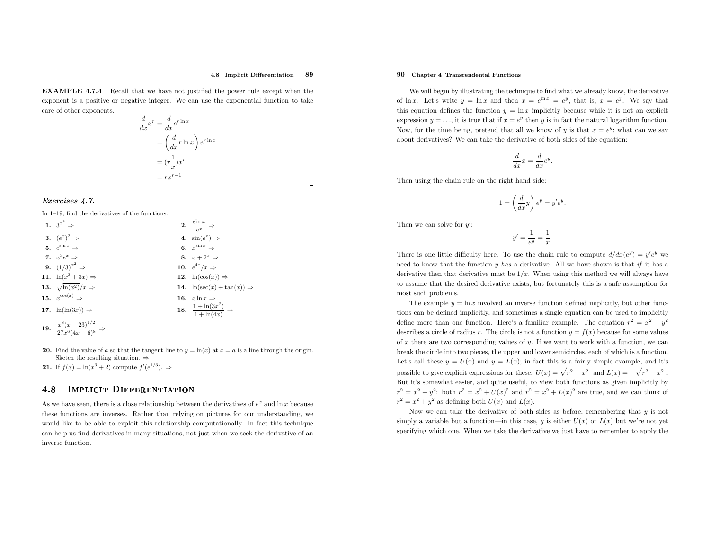### 4.8 Implicit Differentiation<sup>89</sup>

EXAMPLE 4.7.4 Recall that we have not justified the power rule except when the exponent is <sup>a</sup> positive or negative integer. We can use the exponential function to take care of other exponents.

$$
\frac{d}{dx}x^r = \frac{d}{dx}e^{r\ln x}
$$

$$
= \left(\frac{d}{dx}r\ln x\right)e^{r\ln x}
$$

$$
= (r\frac{1}{x})x^r
$$

$$
= rx^{r-1}
$$

 $\Box$ 

## Exercises 4.7.

In 1–19, find the derivatives of the functions.

| 1. $3^{x^2} \Rightarrow$                                | 2. $\frac{\sin x}{e^x} \Rightarrow$                 |
|---------------------------------------------------------|-----------------------------------------------------|
| 3. $(e^x)^2 \Rightarrow$                                | 4. $\sin(e^x) \Rightarrow$                          |
| 5. $e^{\sin x} \Rightarrow$                             | 6. $x^{\sin x} \Rightarrow$                         |
| 7. $x^3e^x \Rightarrow$                                 | 8. $x+2^x \Rightarrow$                              |
| <b>9.</b> $(1/3)^{x^2} \Rightarrow$                     | 10. $e^{4x}/x \Rightarrow$                          |
| 11. $\ln(x^3+3x) \Rightarrow$                           | 12. $\ln(\cos(x)) \Rightarrow$                      |
| 13. $\sqrt{\ln(x^2)}/x \Rightarrow$                     | 14. $\ln(\sec(x) + \tan(x)) \Rightarrow$            |
| 15. $x^{\cos(x)} \Rightarrow$                           | 16. $x \ln x \Rightarrow$                           |
| 17. $\ln(\ln(3x)) \Rightarrow$                          | 18. $\frac{1 + \ln(3x^2)}{1 + \ln(4x)} \Rightarrow$ |
| 19. $rac{x^8(x-23)^{1/2}}{27x^6(4x-6)^8}$ $\Rightarrow$ |                                                     |

- 20. Find the value of a so that the tangent line to  $y = \ln(x)$  at  $x = a$  is a line through the origin. Sketch the resulting situation.  $\Rightarrow$
- **21.** If  $f(x) = \ln(x^3 + 2)$  compute  $f'(e^{1/3})$ .  $\Rightarrow$

### 4.88 IMPLICIT DIFFERENTIATION

As we have seen, there is a close relationship between the derivatives of  $e^x$  and  $\ln x$  because these functions are inverses. Rather than relying on <sup>p</sup>ictures for our understanding, we would like to be able to exploit this relationship computationally. In fact this technique can help us find derivatives in many situations, not just when we seek the derivative of an inverse function.

# 90 Chapter <sup>4</sup> Transcendental Functions

We will begin by illustrating the technique to find what we already know, the derivative of ln x. Let's write  $y = \ln x$  and then  $x = e^{\ln x} = e^y$ , that is,  $x = e^y$ . We say that this equation defines the function  $y = \ln x$  implicitly because while it is not an explicit expression  $y = \ldots$ , it is true that if  $x = e^y$  then y is in fact the natural logarithm function. Now, for the time being, pretend that all we know of y is that  $x = e^y$ ; what can we say about derivatives? We can take the derivative of both sides of the equation:

$$
\frac{d}{dx}x = \frac{d}{dx}e^y
$$

Then using the chain rule on the right hand side:

$$
1 = \left(\frac{d}{dx}y\right)e^y = y'e^y.
$$

Then we can solve for  $y'$ :

$$
y' = \frac{1}{e^y} = \frac{1}{x}.
$$

There is one little difficulty here. To use the chain rule to compute  $d/dx(e^y) = y'e^y$  we need to know that the function  $y$  has a derivative. All we have shown is that  $if$  it has a derivative then that derivative must be  $1/x$ . When using this method we will always have to assume that the desired derivative exists, but fortunately this is <sup>a</sup> safe assumption for most such problems.

The example  $y = \ln x$  involved an inverse function defined implicitly, but other functions can be defined implicitly, and sometimes <sup>a</sup> single equation can be used to implicitlydefine more than one function. Here's a familiar example. The equation  $r^2 = x^2 + y^2$ describes a circle of radius r. The circle is not a function  $y = f(x)$  because for some values of  $x$  there are two corresponding values of  $y$ . If we want to work with a function, we can break the circle into two <sup>p</sup>ieces, the upper and lower semicircles, each of which is <sup>a</sup> function. Let's call these  $y = U(x)$  and  $y = L(x)$ ; in fact this is a fairly simple example, and it's possible to give explicit expressions for these:  $U(x) = \sqrt{r^2 - x^2}$  and  $L(x) = -\sqrt{r^2 - x^2}$ . But it's somewhat easier, and quite useful, to view both functions as <sup>g</sup>iven implicitly by $r^2 = x^2 + y^2$ : both  $r^2 = x^2 + U(x)^2$  and  $r^2 = x^2 + L(x)^2$  are true, and we can think of  $r^2 = x^2 + y^2$  as defining both  $U(x)$  and  $L(x)$ .

Now we can take the derivative of both sides as before, remembering that  $y$  is not simply a variable but a function—in this case, y is either  $U(x)$  or  $L(x)$  but we're not yet specifying which one. When we take the derivative we just have to remember to apply the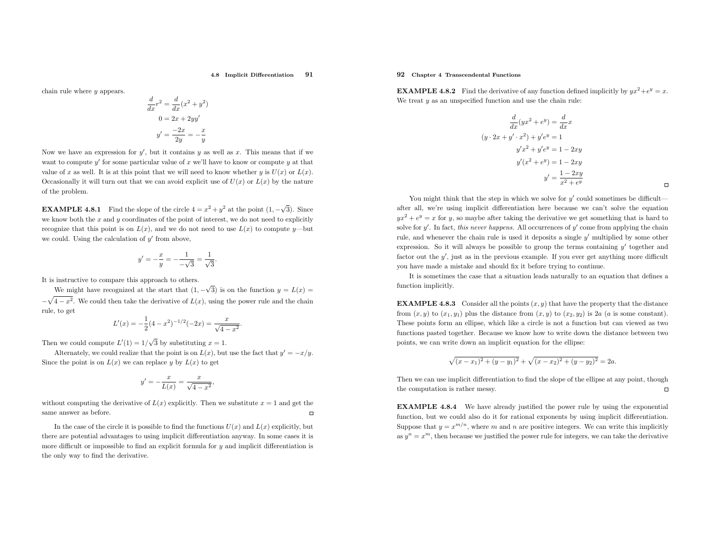### 4.8 Implicit Differentiation<sup>91</sup>

chain rule where <sup>y</sup> appears.

$$
\frac{d}{dx}r^2 = \frac{d}{dx}(x^2 + y^2)
$$

$$
0 = 2x + 2yy'
$$

$$
y' = \frac{-2x}{2y} = -\frac{x}{y}
$$

Now we have an expression for  $y'$ , but it contains y as well as x. This means that if we want to compute  $y'$  for some particular value of x we'll have to know or compute y at that value of x as well. It is at this point that we will need to know whether y is  $U(x)$  or  $L(x)$ . Occasionally it will turn out that we can avoid explicit use of  $U(x)$  or  $L(x)$  by the nature of the problem.

**EXAMPLE 4.8.1** Find the slope of the circle  $4 = x^2 + y^2$  at the point  $(1, -\sqrt{3})$ . Since we know both the  $x$  and  $y$  coordinates of the point of interest, we do not need to explicitly recognize that this point is on  $L(x)$ , and we do not need to use  $L(x)$  to compute y—but we could. Using the calculation of  $y'$  from above,

$$
y' = -\frac{x}{y} = -\frac{1}{-\sqrt{3}} = \frac{1}{\sqrt{3}}.
$$

It is instructive to compare this approac<sup>h</sup> to others.

We might have recognized at the start that  $(1, -\sqrt{3})$  is on the function  $y = L(x) =$  $-\sqrt{4-x^2}$ . We could then take the derivative of  $L(x)$ , using the power rule and the chain rule, to get

$$
L'(x) = -\frac{1}{2}(4 - x^2)^{-1/2}(-2x) = \frac{x}{\sqrt{4 - x^2}}.
$$

Then we could compute  $L'(1) = 1/\sqrt{3}$  by substituting  $x = 1$ .

Alternately, we could realize that the point is on  $L(x)$ , but use the fact that  $y' = -x/y$ . Since the point is on  $L(x)$  we can replace y by  $L(x)$  to get

$$
y' = -\frac{x}{L(x)} = \frac{x}{\sqrt{4 - x^2}},
$$

without computing the derivative of  $L(x)$  explicitly. Then we substitute  $x = 1$  and get the same answer as before.

In the case of the circle it is possible to find the functions  $U(x)$  and  $L(x)$  explicitly, but there are potential advantages to using implicit differentiation anyway. In some cases it is more difficult or impossible to find an explicit formula for  $y$  and implicit differentiation is the only way to find the derivative.

## 92 Chapter <sup>4</sup> Transcendental Functions

**EXAMPLE 4.8.2** Find the derivative of any function defined implicitly by  $yx^2 + e^y = x$ . We treat  $y$  as an unspecified function and use the chain rule:

$$
\frac{d}{dx}(yx^2 + e^y) = \frac{d}{dx}x
$$

$$
(y \cdot 2x + y' \cdot x^2) + y'e^y = 1
$$

$$
y'x^2 + y'e^y = 1 - 2xy
$$

$$
y'(x^2 + e^y) = 1 - 2xy
$$

$$
y' = \frac{1 - 2xy}{x^2 + e^y}
$$

You might think that the step in which we solve for  $y'$  could sometimes be difficult after all, we're using implicit differentiation here because we can't solve the equation $yx^2 + e^y = x$  for y, so maybe after taking the derivative we get something that is hard to solve for  $y'$ . In fact, this never happens. All occurrences of  $y'$  come from applying the chain rule, and whenever the chain rule is used it deposits <sup>a</sup> single <sup>y</sup>′ multiplied by some other expression. So it will always be possible to group the terms containing  $y'$  together and factor out the <sup>y</sup>′, just as in the previous example. If you ever get anything more difficult you have made <sup>a</sup> mistake and should fix it before trying to continue.

It is sometimes the case that <sup>a</sup> situation leads naturally to an equation that defines <sup>a</sup> function implicitly.

**EXAMPLE 4.8.3** Consider all the points  $(x, y)$  that have the property that the distance from  $(x, y)$  to  $(x_1, y_1)$  plus the distance from  $(x, y)$  to  $(x_2, y_2)$  is 2a (a is some constant). These points form an ellipse, which like <sup>a</sup> circle is not <sup>a</sup> function but can viewed as two functions pasted together. Because we know how to write down the distance between two points, we can write down an implicit equation for the ellipse:

$$
\sqrt{(x-x_1)^2 + (y-y_1)^2} + \sqrt{(x-x_2)^2 + (y-y_2)^2} = 2a.
$$

Then we can use implicit differentiation to find the slope of the ellipse at any point, though $\Box$ the computation is rather messy.

EXAMPLE 4.8.4 We have already justified the power rule by using the exponential function, but we could also do it for rational exponents by using implicit differentiation. Suppose that  $y = x^{m/n}$ , where m and n are positive integers. We can write this implicitly as  $y^n = x^m$ , then because we justified the power rule for integers, we can take the derivative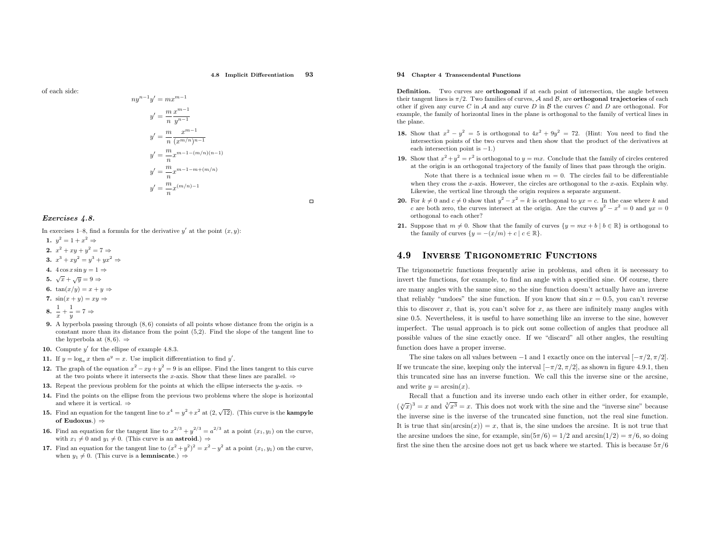of each side:

$$
ny^{n-1}y' = mx^{m-1}
$$
  
\n
$$
y' = \frac{m}{n} \frac{x^{m-1}}{y^{n-1}}
$$
  
\n
$$
y' = \frac{m}{n} \frac{x^{m-1}}{(x^{m/n})^{n-1}}
$$
  
\n
$$
y' = \frac{m}{n} x^{m-1-(m/n)(n-1)}
$$
  
\n
$$
y' = \frac{m}{n} x^{m-1-m+(m/n)}
$$
  
\n
$$
y' = \frac{m}{n} x^{(m/n)-1}
$$

 $m-1$ 

## Exercises 4.8.

In exercises 1–8, find a formula for the derivative  $y'$  at the point  $(x, y)$ :

- 1.  $y^2 = 1 + x^2 \Rightarrow$
- 2.  $x^2 + xy + y^2 = 7 \Rightarrow$
- 3.  $x^3 + xy^2 = y^3 + yx^2 \Rightarrow$
- 4.  $4\cos x \sin y = 1 \Rightarrow$ 5.  $\sqrt{x} + \sqrt{y} = 9 \Rightarrow$
- 6.  $\tan(x/y) = x + y \Rightarrow$
- 7.  $\sin(x+y) = xy \Rightarrow$

$$
8. \ \frac{1}{x} + \frac{1}{y} = 7 \Rightarrow
$$

- 9. <sup>A</sup> hyperbola passing through (8, 6) consists of all points whose distance from the origin is <sup>a</sup> constant more than its distance from the point (5,2). Find the slope of the tangent line tothe hyperbola at  $(8,6)$ .  $\Rightarrow$
- **10.** Compute  $y'$  for the ellipse of example 4.8.3.
- 11. If  $y = \log_a x$  then  $a^y = x$ . Use implicit differentiation to find y'.
- **12.** The graph of the equation  $x^2 xy + y^2 = 9$  is an ellipse. Find the lines tangent to this curve at the two points where it intersects the x-axis. Show that these lines are parallel.  $\Rightarrow$
- **13.** Repeat the previous problem for the points at which the ellipse intersects the y-axis.  $\Rightarrow$
- 14. Find the points on the ellipse from the previous two problems where the slope is horizontal and where it is vertical.  $\Rightarrow$
- 15. Find an equation for the tangent line to  $x^4 = y^2 + x^2$  at  $(2, \sqrt{12})$ . (This curve is the **kampyle** of Eudoxus.) <sup>⇒</sup>
- **16.** Find an equation for the tangent line to  $x^{2/3} + y^{2/3} = a^{2/3}$  at a point  $(x_1, y_1)$  on the curve, with  $x_1 \neq 0$  and  $y_1 \neq 0$ . (This curve is an **astroid**.)  $\Rightarrow$
- 17. Find an equation for the tangent line to  $(x^2 + y^2)^2 = x^2 y^2$  at a point  $(x_1, y_1)$  on the curve, when  $y_1 \neq 0$ . (This curve is a **lemniscate**.)  $\Rightarrow$

## 94 Chapter <sup>4</sup> Transcendental Functions

Definition. Two curves are **orthogonal** if at each point of intersection, the angle between their tangent lines is  $\pi/2$ . Two families of curves, A and B, are **orthogonal trajectories** of each the state of each the state of each the state of each the state of each the state of each the state of each the state o other if given any curve C in A and any curve D in B the curves C and D are orthogonal. For example, the family of horizontal lines in the <sup>p</sup>lane is orthogonal to the family of vertical lines inthe <sup>p</sup>lane.

- **18.** Show that  $x^2 y^2 = 5$  is orthogonal to  $4x^2 + 9y^2 = 72$ . (Hint: You need to find the Show that  $x - y = 3$  is orthogonal to  $4x + 9y = 72$ . (Hint: You heed to find the intersection points of the two curves and then show that the product of the derivatives at each intersection point is <sup>−</sup>1.)
- 19. Show that  $x^2 + y^2 = r^2$  is orthogonal to  $y = mx$ . Conclude that the family of circles centered Show that  $x + y = r$  is orthogonal to  $y = mx$ . Conclude that the family of circles centered at the origin is an orthogonal trajectory of the family of lines that pass through the origin.

Note that there is a technical issue when  $m = 0$ . The circles fail to be differentiable<br>that great the gastic Harmour the circles are extheneed to the gastic Evalpin why when they cross the x-axis. However, the circles are orthogonal to the  $x$ -axis. Explain why. Likewise, the vertical line through the origin requires <sup>a</sup> separate argument.

- 20. For  $k \neq 0$  and  $c \neq 0$  show that  $y^2 x^2 = k$  is orthogonal to  $yx = c$ . In the case where k and c are both zero, the curves intersect at the origin. Are the curves  $y^2 - x^2 = 0$  and  $yx = 0$ orthogonal to each other?
- 21. Suppose that  $m \neq 0$ . Show that the family of curves  $\{y = mx + b \mid b \in \mathbb{R}\}$  is orthogonal to the family of curves  $\{y = -(x/m) + c \mid c \in \mathbb{R}\}.$

### 4.99 INVERSE TRIGONOMETRIC FUNCTIONS

The trigonometric functions frequently arise in problems, and often it is necessary to invert the functions, for example, to find an angle with <sup>a</sup> specified sine. Of course, there are many angles with the same sine, so the sine function doesn't actually have an inverse that reliably "undoes" the sine function. If you know that  $\sin x = 0.5$ , you can't reverse this to discover x, that is, you can't solve for x, as there are infinitely many angles with sine <sup>0</sup>.5. Nevertheless, it is useful to have something like an inverse to the sine, however imperfect. The usual approac<sup>h</sup> is to <sup>p</sup>ick out some collection of angles that produce all possible values of the sine exactly once. If we "discard" all other angles, the resulting function does have <sup>a</sup> proper inverse.

The sine takes on all values between  $-1$  and 1 exactly once on the interval  $[-\pi/2, \pi/2]$ . If we truncate the sine, keeping only the interval  $[-\pi/2, \pi/2]$ , as shown in figure 4.9.1, then this truncated sine has an inverse function. We call this the inverse sine or the arcsine, and write  $y = \arcsin(x)$ .

Recall that <sup>a</sup> function and its inverse undo each other in either order, for example,  $(\sqrt[3]{x})^3 = x$  and  $\sqrt[3]{x^3} = x$ . This does not work with the sine and the "inverse sine" because the inverse sine is the inverse of the truncated sine function, not the real sine function. It is true that  $sin(arcsin(x)) = x$ , that is, the sine undoes the arcsine. It is not true that the arcsine undoes the sine, for example,  $\sin(5\pi/6) = 1/2$  and  $\arcsin(1/2) = \pi/6$ , so doing first the sine then the arcsine does not get us back where we started. This is because  $5\pi/6$ 

 $\Box$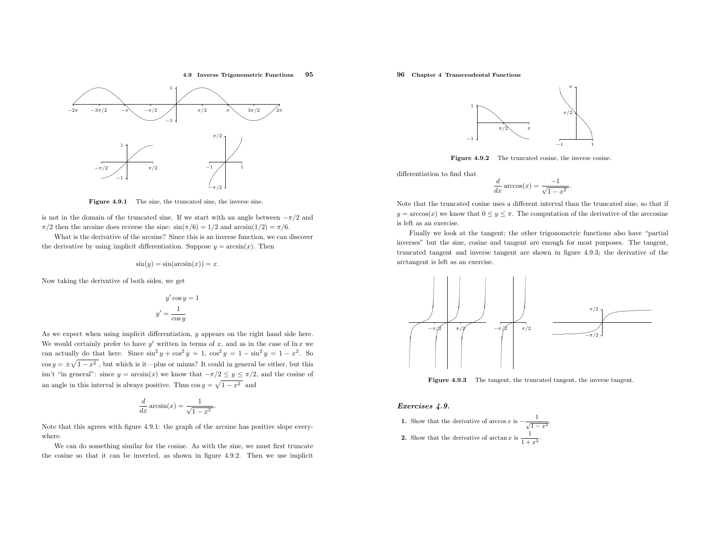4.9 Inverse Trigonometric Functions <sup>95</sup>



Figure 4.9.1 The sine, the truncated sine, the inverse sine.

is not in the domain of the truncated sine. If we start with an angle between  $-\pi/2$  and  $\pi/2$  then the arcsine does reverse the sine:  $\sin(\pi/6) = 1/2$  and  $\arcsin(1/2) = \pi/6$ .

What is the derivative of the arcsine? Since this is an inverse function, we can discover the derivative by using implicit differentiation. Suppose  $y = \arcsin(x)$ . Then

$$
\sin(y) = \sin(\arcsin(x)) = x.
$$

Now taking the derivative of both sides, we get

$$
y' \cos y = 1
$$

$$
y' = \frac{1}{\cos y}
$$

As we expect when using implicit differentiation, <sup>y</sup> appears on the right hand side here. We would certainly prefer to have  $y'$  written in terms of x, and as in the case of  $\ln x$  we can actually do that here. Since  $\sin^2 y + \cos^2 y = 1$ ,  $\cos^2 y = 1 - \sin^2 y = 1 - x^2$ . So  $\cos y = \pm \sqrt{1 - x^2}$ , but which is it—plus or minus? It could in general be either, but this isn't "in general": since  $y = \arcsin(x)$  we know that  $-\pi/2 \le y \le \pi/2$ , and the cosine of an angle in this interval is always positive. Thus  $\cos y = \sqrt{1 - x^2}$  and

$$
\frac{d}{dx}\arcsin(x) = \frac{1}{\sqrt{1-x^2}}.
$$

Note that this agrees with figure 4.9.1: the grap<sup>h</sup> of the arcsine has positive slope everywhere.

We can do something similar for the cosine. As with the sine, we must first truncate the cosine so that it can be inverted, as shown in figure 4.9.2. Then we use implicit

# 96 Chapter <sup>4</sup> Transcendental Functions



Figure 4.9.2 The truncated cosine, the inverse cosine.

differentiation to find that

$$
\frac{d}{dx}\arccos(x) = \frac{-1}{\sqrt{1-x^2}}.
$$

Note that the truncated cosine uses <sup>a</sup> different interval than the truncated sine, so that if  $y = \arccos(x)$  we know that  $0 \le y \le \pi$ . The computation of the derivative of the arccosine is left as an exercise.

Finally we look at the tangent; the other trigonometric functions also have "partial inverses" but the sine, cosine and tangent are enoug<sup>h</sup> for most purposes. The tangent, truncated tangent and inverse tangent are shown in figure 4.9.3; the derivative of the arctangent is left as an exercise.



**Figure 4.9.3** The tangent, the truncated tangent, the inverse tangent.

### Exercises 4.9.

\n- **1.** Show that the derivative of 
$$
\arccos x
$$
 is  $-\frac{1}{\sqrt{1-x^2}}$
\n- **2.** Show that the derivative of  $\arctan x$  is  $\frac{1}{1+x^2}$ .
\n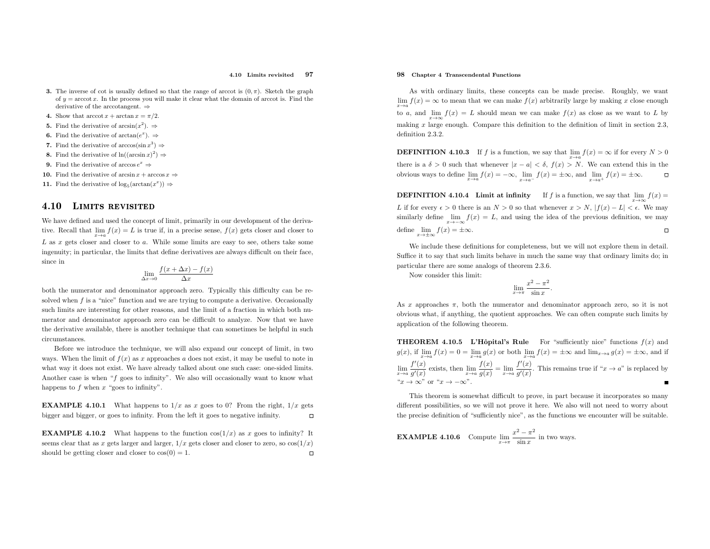#### 4.10 Limits revisited<sup>97</sup>

- **3.** The inverse of cot is usually defined so that the range of arccot is  $(0, \pi)$ . Sketch the graph of  $y = \operatorname{arccot} x$ . In the process you will make it clear what the domain of arccot is. Find the derivative of the arccotangent. ⇒
- 4. Show that  $\arccot x + \arctan x = \pi/2$ .
- **5.** Find the derivative of  $arcsin(x^2)$ .  $\Rightarrow$
- **6.** Find the derivative of  $arctan(e^x)$ .  $\Rightarrow$
- 7. Find the derivative of  $arccos(\sin x^3) \Rightarrow$
- **8.** Find the derivative of  $ln((\arcsin x)^2) \Rightarrow$
- **9.** Find the derivative of arccos  $e^x \Rightarrow$
- **10.** Find the derivative of arcsin  $x + \arccos x \Rightarrow$
- 11. Find the derivative of  $\log_5(\arctan(x^x)) \Rightarrow$

### 4.10Limits revisited

We have defined and used the concept of limit, primarily in our development of the derivative. Recall that  $\lim_{x\to a} f(x) = L$  is true if, in a precise sense,  $f(x)$  gets closer and closer to  $L$  as  $x$  gets closer and closer to  $a$ . While some limits are easy to see, others take some ingenuity; in particular, the limits that define derivatives are always difficult on their face, since in

$$
\lim_{\Delta x \to 0} \frac{f(x + \Delta x) - f(x)}{\Delta x}
$$

both the numerator and denominator approac<sup>h</sup> zero. Typically this difficulty can be resolved when  $f$  is a "nice" function and we are trying to compute a derivative. Occasionally such limits are interesting for other reasons, and the limit of <sup>a</sup> fraction in which both numerator and denominator approac<sup>h</sup> zero can be difficult to analyze. Now that we have the derivative available, there is another technique that can sometimes be helpful in suchcircumstances.

Before we introduce the technique, we will also expand our concept of limit, in two ways. When the limit of  $f(x)$  as x approaches a does not exist, it may be useful to note in what way it does not exist. We have already talked about one such case: one-sided limits. Another case is when "f goes to infinity". We also will occasionally want to know what happens to  $f$  when  $x$  "goes to infinity".

**EXAMPLE 4.10.1** What happens to  $1/x$  as x goes to 0? From the right,  $1/x$  gets bigger and bigger, or goes to infinity. From the left it goes to negative infinity.  $\Box$ 

**EXAMPLE 4.10.2** What happens to the function  $cos(1/x)$  as x goes to infinity? It seems clear that as x gets larger and larger,  $1/x$  gets closer and closer to zero, so  $cos(1/x)$ should be getting closer and closer to  $cos(0) = 1$ .

## 98 Chapter <sup>4</sup> Transcendental Functions

As with ordinary limits, these concepts can be made precise. Roughly, we want  $\lim_{x\to a} f(x) = \infty$  to mean that we can make  $f(x)$  arbitrarily large by making x close enough to a, and  $\lim_{x\to\infty} f(x) = L$  should mean we can make  $f(x)$  as close as we want to L by making  $x$  large enough. Compare this definition to the definition of limit in section 2.3, definition 2.3.2.

**DEFINITION 4.10.3** If f is a function, we say that  $\lim_{x \to a} f(x) = \infty$  if for every  $N > 0$ there is a  $\delta > 0$  such that whenever  $|x - a| < \delta$ ,  $f(x) > N$ . We can extend this in the obvious ways to define  $\lim_{x\to a} f(x) = -\infty$ ,  $\lim_{x\to a^{-}} f(x) = \pm \infty$ , and  $\lim_{x\to a^{+}} f(x) = \pm \infty$ .

**DEFINITION 4.10.4** Limit at infinity If f is a function, we say that  $\lim_{x\to\infty} f(x) =$ L if for every  $\epsilon > 0$  there is an  $N > 0$  so that whenever  $x > N$ ,  $|f(x) - L| < \epsilon$ . We may similarly define  $\lim_{x\to -\infty}f(x) = L$ , and using the idea of the previous definition, we may  $x \rightarrow -\infty$  $\Box$ define  $\lim_{x \to \pm \infty} f(x) = \pm \infty$ .

 We include these definitions for completeness, but we will not explore them in detail. Suffice it to say that such limits behave in much the same way that ordinary limits do; inparticular there are some analogs of theorem 2.3.6.

Now consider this limit:

$$
\lim_{x \to \pi} \frac{x^2 - \pi^2}{\sin x}.
$$

As x approaches  $\pi$ , both the numerator and denominator approach zero, so it is not obvious what, if anything, the quotient approaches. We can often compute such limits byapplication of the following theorem.

**THEOREM 4.10.5** L'Hôpital's Rule For "sufficiently nice" functions  $f(x)$  and  $g(x)$ , if  $\lim_{x\to a} f(x) = 0 = \lim_{x\to a} g(x)$  or both  $\lim_{x\to a} f(x) = \pm \infty$  and  $\lim_{x\to a} g(x) = \pm \infty$ , and if  $\lim_{x\to a}\frac{f'(x)}{g'(x)}$  exists, then  $\lim_{x\to a}\frac{f(x)}{g(x)}=\lim_{x\to a}\frac{f'(x)}{g'(x)}$ " $x \to \infty$ " or " $x \to -\infty$ ".  $\frac{f'(x)}{g'(x)}$  exists, then  $\lim_{x\to a} \frac{f(x)}{g(x)} = \lim_{x\to a} \frac{f'(x)}{g'(x)}$ . This remains true if " $x \to a$ " is replaced by

This theorem is somewhat difficult to prove, in part because it incorporates so many different possibilities, so we will not prove it here. We also will not need to worry about the precise definition of "sufficiently nice", as the functions we encounter will be suitable.

**EXAMPLE 4.10.6** Compute 
$$
\lim_{x \to \pi} \frac{x^2 - \pi^2}{\sin x}
$$
 in two ways.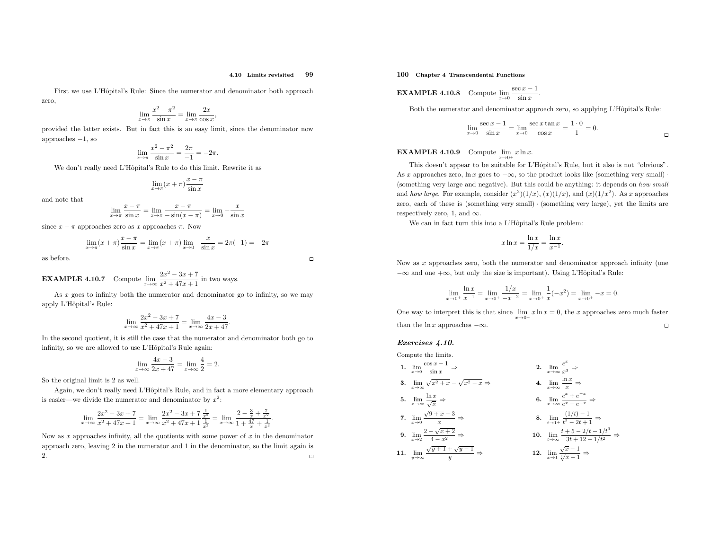### 4.10 Limits revisited<sup>99</sup>

First we use L'Hôpital's Rule: Since the numerator and denominator both approach zero,

$$
\lim_{x \to \pi} \frac{x^2 - \pi^2}{\sin x} = \lim_{x \to \pi} \frac{2x}{\cos x},
$$

 provided the latter exists. But in fact this is an easy limit, since the denominator nowapproaches<sup>−</sup>1, so

$$
\lim_{x \to \pi} \frac{x^2 - \pi^2}{\sin x} = \frac{2\pi}{-1} = -2\pi.
$$

We don't really need L'Hôpital's Rule to do this limit. Rewrite it as

$$
\lim_{x \to \pi} (x + \pi) \frac{x - \pi}{\sin x}
$$

and note that

$$
\lim_{x \to \pi} \frac{x - \pi}{\sin x} = \lim_{x \to \pi} \frac{x - \pi}{-\sin(x - \pi)} = \lim_{x \to 0} \frac{x}{\sin x}
$$

since  $x - \pi$  approaches zero as x approaches  $\pi$ . Now

$$
\lim_{x \to \pi} (x + \pi) \frac{x - \pi}{\sin x} = \lim_{x \to \pi} (x + \pi) \lim_{x \to 0} -\frac{x}{\sin x} = 2\pi(-1) = -2\pi
$$

as before.

 $\Box$ 

**EXAMPLE 4.10.7** Compute 
$$
\lim_{x \to \infty} \frac{2x^2 - 3x + 7}{x^2 + 47x + 1}
$$
 in two ways.

 As <sup>x</sup> goes to infinity both the numerator and denominator go to infinity, so we may apply L'Hôpital's Rule:

$$
\lim_{x \to \infty} \frac{2x^2 - 3x + 7}{x^2 + 47x + 1} = \lim_{x \to \infty} \frac{4x - 3}{2x + 47}.
$$

 In the second quotient, it is still the case that the numerator and denominator both go to infinity, so we are allowed to use L'Hôpital's Rule again:

$$
\lim_{x \to \infty} \frac{4x - 3}{2x + 47} = \lim_{x \to \infty} \frac{4}{2} = 2.
$$

So the original limit is <sup>2</sup> as well.

Again, we don't really need L'Hôpital's Rule, and in fact a more elementary approach is easier—we divide the numerator and denominator by  $x^2$ :

$$
\lim_{x \to \infty} \frac{2x^2 - 3x + 7}{x^2 + 47x + 1} = \lim_{x \to \infty} \frac{2x^2 - 3x + 7}{x^2 + 47x + 1} = \lim_{x \to \infty} \frac{2 - \frac{3}{x} + \frac{7}{x^2}}{1 + \frac{47}{x} + \frac{1}{x^2}}.
$$

Now as  $x$  approaches infinity, all the quotients with some power of  $x$  in the denominator approach zero, leaving 2 in the numerator and 1 in the denominator, so the limit again is 2.  $\hfill \Box$ 2.

100 Chapter <sup>4</sup> Transcendental Functions

**EXAMPLE 4.10.8** Compute 
$$
\lim_{x\to 0} \frac{\sec x - 1}{\sin x}
$$
.

Both the numerator and denominator approach zero, so applying L'Hôpital's Rule:

$$
\lim_{x \to 0} \frac{\sec x - 1}{\sin x} = \lim_{x \to 0} \frac{\sec x \tan x}{\cos x} = \frac{1 \cdot 0}{1} = 0.
$$

**EXAMPLE 4.10.9** Compute  $\lim_{x\to 0^+} x \ln x$ .

This doesn't appear to be suitable for L'Hôpital's Rule, but it also is not "obvious". As x approaches zero,  $\ln x$  goes to  $-\infty$ , so the product looks like (something very small)  $\cdot$ (something very large and negative). But this could be anything: it depends on how small and how large. For example, consider  $(x^2)(1/x)$ ,  $(x)(1/x)$ , and  $(x)(1/x^2)$ . As x approaches zero, each of these is (something very small) · (something very large), yet the limits are respectively zero, 1, and  $\infty$ .

We can in fact turn this into a L'Hôpital's Rule problem:

$$
x \ln x = \frac{\ln x}{1/x} = \frac{\ln x}{x^{-1}}.
$$

Now as <sup>x</sup> approaches zero, both the numerator and denominator approac<sup>h</sup> infinity (one  $-\infty$  and one  $+\infty$ , but only the size is important). Using L'Hôpital's Rule:

$$
\lim_{x \to 0^+} \frac{\ln x}{x^{-1}} = \lim_{x \to 0^+} \frac{1/x}{-x^{-2}} = \lim_{x \to 0^+} \frac{1}{x}(-x^2) = \lim_{x \to 0^+} -x = 0.
$$

One way to interpret this is that since  $\lim_{x\to 0^+} x \ln x = 0$ , the x approaches zero much faster  $\Box$ than the  $\ln x$  approaches  $-\infty$ .

## Exercises 4.10.

Compute the limits.

1. 
$$
\lim_{x \to 0} \frac{\cos x - 1}{\sin x} \Rightarrow
$$
\n2. 
$$
\lim_{x \to \infty} \frac{e^x}{x^3} \Rightarrow
$$
\n3. 
$$
\lim_{x \to \infty} \sqrt{x^2 + x} - \sqrt{x^2 - x} \Rightarrow
$$
\n4. 
$$
\lim_{x \to \infty} \frac{\ln x}{x} \Rightarrow
$$
\n5. 
$$
\lim_{x \to \infty} \frac{\ln x}{\sqrt{x}} \Rightarrow
$$
\n6. 
$$
\lim_{x \to \infty} \frac{e^x + e^{-x}}{e^x - e^{-x}} \Rightarrow
$$
\n7. 
$$
\lim_{x \to 0} \frac{\sqrt{9 + x} - 3}{x} \Rightarrow
$$
\n8. 
$$
\lim_{t \to 1^+} \frac{(1/t) - 1}{t^2 - 2t + 1} \Rightarrow
$$
\n9. 
$$
\lim_{x \to 2} \frac{2 - \sqrt{x + 2}}{4 - x^2} \Rightarrow
$$
\n10. 
$$
\lim_{t \to \infty} \frac{t + 5 - 2/t - 1/t^3}{3t + 12 - 1/t^2} \Rightarrow
$$
\n11. 
$$
\lim_{y \to \infty} \frac{\sqrt{y + 1} + \sqrt{y - 1}}{y} \Rightarrow
$$
\n12. 
$$
\lim_{x \to 1} \frac{\sqrt{x} - 1}{\sqrt[3]{x} - 1} \Rightarrow
$$

$$
\overline{a}
$$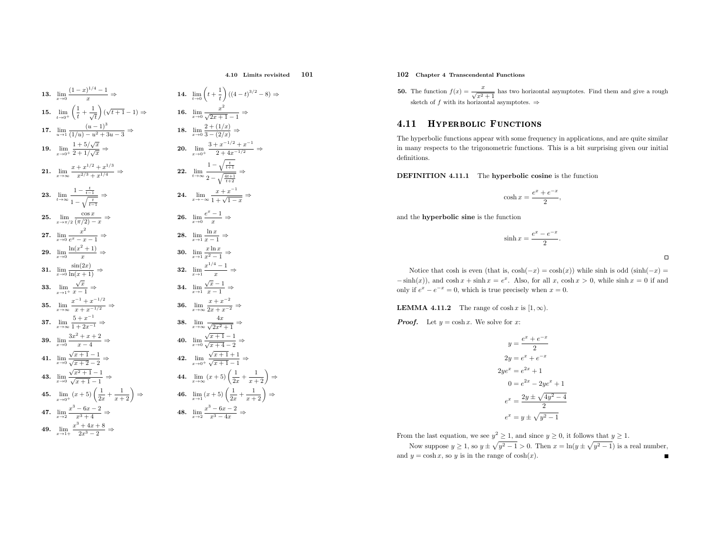4.10 Limits revisited<sup>101</sup>

13. 
$$
\lim_{x\to 0} \frac{(1-x)^{1/4} - 1}{x} \Rightarrow
$$
  
\n14.  $\lim_{t\to 0} \left(t + \frac{1}{t}\right)(t + \frac{1}{t})$   
\n15.  $\lim_{t\to 0} \left(\frac{1}{t} + \frac{1}{\sqrt{t}}\right)(\sqrt{t+1} - 1) \Rightarrow$   
\n16.  $\lim_{x\to 0} \frac{x^2}{\sqrt{2x+1}}$   
\n17.  $\lim_{u\to 1} \frac{(u-1)^3}{(1/u) - u^2 + 3u - 3} \Rightarrow$   
\n18.  $\lim_{x\to 0} \frac{2 + (1/x)}{3 - (2/x)}$   
\n19.  $\lim_{x\to 0} \frac{1 + 5/\sqrt{x}}{2 + 1/\sqrt{x}} \Rightarrow$   
\n20.  $\lim_{x\to 0} \frac{3 + x^{-1}}{2 + 4}$   
\n21.  $\lim_{x\to \infty} \frac{x + x^{1/2} + x^{1/3}}{x^{2/3} + x^{1/4}} \Rightarrow$   
\n22.  $\lim_{t\to \infty} \frac{1 - \sqrt{\frac{t}{t+1}}}{2 - \sqrt{\frac{t}{t+1}}}$   
\n23.  $\lim_{t\to \infty} \frac{1 - \frac{t}{t-1}}{1 - \sqrt{\frac{t}{t-1}}}$   
\n24.  $\lim_{x\to -\infty} \frac{x + x}{2 - \sqrt{\frac{t}{t+1}}}$   
\n25.  $\lim_{x\to \infty} \frac{\cos x}{e^x - x - 1} \Rightarrow$   
\n26.  $\lim_{x\to 0} \frac{e^x - 1}{x} \Rightarrow$   
\n27.  $\lim_{x\to 0} \frac{1}{e^x - x - 1} \Rightarrow$   
\n28.  $\lim_{x\to 1} \frac{1}{x - 1} \Rightarrow$   
\n29.  $\lim_{x\to 0} \frac{\ln(x^2 + 1)}{x} \Rightarrow$   
\n30.  $\lim_{x\to 1} \frac{x \ln x}{x^2 - 1} \Rightarrow$   
\n31.  $\lim_{x\to 0} \frac{6x^2 + x - 1}{x^2$ 

4. 
$$
\lim_{t \to 0} \left( t + \frac{1}{t} \right) ((4 - t)^{3/2} - 8) \Rightarrow
$$
\n6. 
$$
\lim_{x \to 0} \frac{x^2}{\sqrt{2x + 1} - 1} \Rightarrow
$$
\n8. 
$$
\lim_{x \to 0} \frac{2 + (1/x)}{3 - (2/x)} \Rightarrow
$$
\n9. 
$$
\lim_{x \to 0^+} \frac{3 + x^{-1/2} + x^{-1}}{2 + 4x^{-1/2}} \Rightarrow
$$
\n12. 
$$
\lim_{t \to \infty} \frac{1 - \sqrt{\frac{t}{t+1}}}{2 - \sqrt{\frac{4t+1}{t+2}}} \Rightarrow
$$
\n14. 
$$
\lim_{x \to -\infty} \frac{x + x^{-1}}{1 + \sqrt{1 - x}} \Rightarrow
$$
\n16. 
$$
\lim_{x \to 0} \frac{e^x - 1}{x} \Rightarrow
$$
\n17. 
$$
\lim_{x \to 1} \frac{\ln x}{x - 1} \Rightarrow
$$
\n18. 
$$
\lim_{x \to 1} \frac{\ln x}{x - 1} \Rightarrow
$$
\n19. 
$$
\lim_{x \to 1} \frac{x \ln x}{x - 1} \Rightarrow
$$
\n14. 
$$
\lim_{x \to 1} \frac{\sqrt{x} - 1}{x} \Rightarrow
$$
\n15. 
$$
\lim_{x \to 1} \frac{x + x^{-2}}{x - 1} \Rightarrow
$$
\n16. 
$$
\lim_{x \to \infty} \frac{x + x^{-2}}{2x + x^{-2}} \Rightarrow
$$
\n17. 
$$
\lim_{x \to 0} \frac{4x}{\sqrt{x + 1} - 1} \Rightarrow
$$
\n18. 
$$
\lim_{x \to 0} \frac{\sqrt{x + 1} - 1}{\sqrt{x + 1} - 1} \Rightarrow
$$
\n19. 
$$
\lim_{x \to 0} \frac{\sqrt{x + 1} - 1}{\sqrt{x + 1} - 1} \Rightarrow
$$
\n10. 
$$
\lim_{x \to 0} \frac{\sqrt{x + 1} - 1}{\sqrt{x + 1} - 1} \Rightarrow
$$
\n11. 
$$
\lim_{x \to \infty} (x + 5) \left( \frac{1}{2x} + \frac{1}{x + 2} \right) \Rightarrow
$$

# 102 Chapter <sup>4</sup> Transcendental Functions

**50.** The function  $f(x) =$ The function  $f(x) = \frac{x}{\sqrt{x^2 + 1}}$  has two horizontal asymptotes. Find them and give a rough sketch of f with its horizontal asymptotes.  $\Rightarrow$ 

### 4.111 HYPERBOLIC FUNCTIONS

The hyperbolic functions appear with some frequency in applications, and are quite similar in many respects to the trigonometric functions. This is <sup>a</sup> bit surprising <sup>g</sup>iven our initial definitions.

DEFINITION 4.11.1 The hyperbolic cosine is the function

$$
\cosh x = \frac{e^x + e^{-x}}{2},
$$

and the hyperbolic sine is the function

$$
\sinh x = \frac{e^x - e^{-x}}{2}
$$

 $\Box$ 

Notice that cosh is even (that is,  $cosh(-x) = cosh(x)$ ) while sinh is odd (sinh( $-x$ ) =  $-\sinh(x)$ ), and  $\cosh x + \sinh x = e^x$ . Also, for all x,  $\cosh x > 0$ , while  $\sinh x = 0$  if and only if  $e^x - e^{-x} = 0$ , which is true precisely when  $x = 0$ .

**LEMMA 4.11.2** The range of  $\cosh x$  is  $[1, \infty)$ .

**Proof.** Let  $y = \cosh x$ . We solve for x:

$$
y = \frac{e^x + e^{-x}}{2}
$$

$$
2y = e^x + e^{-x}
$$

$$
2ye^x = e^{2x} + 1
$$

$$
0 = e^{2x} - 2ye^x + 1
$$

$$
e^x = \frac{2y \pm \sqrt{4y^2 - 4}}{2}
$$

$$
e^x = y \pm \sqrt{y^2 - 1}
$$

From the last equation, we see  $y^2 \geq 1$ , and since  $y \geq 0$ , it follows that  $y \geq 1$ .

Now suppose  $y \ge 1$ , so  $y \pm \sqrt{y^2 - 1} > 0$ . Then  $x = \ln(y \pm \sqrt{y^2 - 1})$  is a real number, and  $y = \cosh x$ , so y is in the range of  $\cosh(x)$ .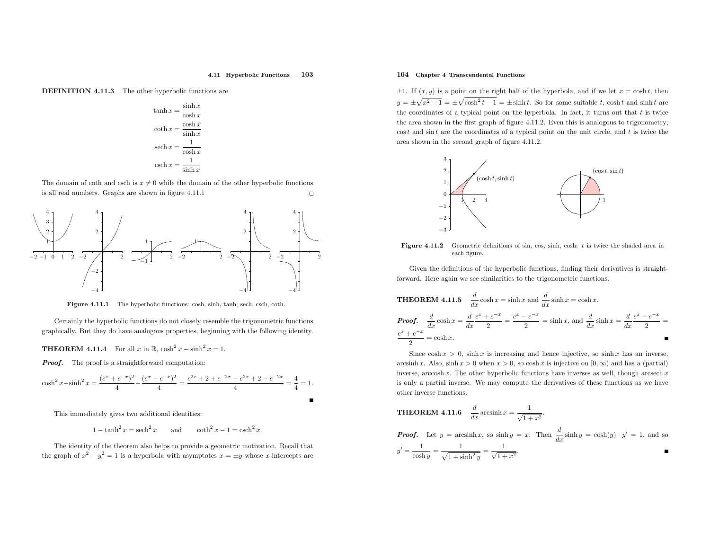### 4.11 Hyperbolic Functions <sup>103</sup>

DEFINITION 4.11.3 The other hyperbolic functions are

$$
\tanh x = \frac{\sinh x}{\cosh x}
$$

$$
\coth x = \frac{\cosh x}{\sinh x}
$$

$$
\operatorname{sech} x = \frac{1}{\cosh x}
$$

$$
\operatorname{csch} x = \frac{1}{\sinh x}
$$

The domain of coth and csch is  $x \neq 0$  while the domain of the other hyperbolic functions is all real numbers. Graphs are shown in figure 4.11.1  $\Box$ 



Figure 4.11.1 The hyperbolic functions: cosh, sinh, tanh, sech, csch, coth.

Certainly the hyperbolic functions do not closely resemble the trigonometric functions graphically. But they do have analogous properties, beginning with the following identity.

**THEOREM 4.11.4** For all  $x$  in  $\mathbb{R}$ ,  $\cosh^2 x - \sinh^2 x = 1$ .

**Proof.** The proof is a straightforward computation:

$$
\cosh^2 x - \sinh^2 x = \frac{(e^x + e^{-x})^2}{4} - \frac{(e^x - e^{-x})^2}{4} = \frac{e^{2x} + 2 + e^{-2x} - e^{2x} + 2 - e^{-2x}}{4} = \frac{4}{4} = 1.
$$

This immediately <sup>g</sup>ives two additional identities:

 $1 - \tanh^2 x = \operatorname{sech}^2 x$  and  $\coth^2 x - 1 = \operatorname{csch}^2 x$ .

The identity of the theorem also helps to provide <sup>a</sup> geometric motivation. Recall that the graph of  $x^2 - y^2 = 1$  is a hyperbola with asymptotes  $x = \pm y$  whose x-intercepts are

## 104 Chapter <sup>4</sup> Transcendental Functions

 $\pm 1$ . If  $(x, y)$  is a point on the right half of the hyperbola, and if we let  $x = \cosh t$ , then  $y = \pm \sqrt{x^2 - 1} = \pm \sqrt{\cosh^2 t - 1} = \pm \sinh t$ . So for some suitable t, cosh t and sinh t are the coordinates of a typical point on the hyperbola. In fact, it turns out that  $t$  is twice the area shown in the first grap<sup>h</sup> of figure 4.11.2. Even this is analogous to trigonometry;  $\cos t$  and  $\sin t$  are the coordinates of a typical point on the unit circle, and t is twice the area shown in the second grap<sup>h</sup> of figure 4.11.2.



**Figure 4.11.2** Geometric definitions of sin, cos, sinh, cosh:  $t$  is twice the shaded area in each figure.

Given the definitions of the hyperbolic functions, finding their derivatives is straightforward. Here again we see similarities to the trigonometric functions.

**THEOREM 4.11.5** 
$$
\frac{d}{dx} \cosh x = \sinh x \text{ and } \frac{d}{dx} \sinh x = \cosh x.
$$
  
\n**Proof.** 
$$
\frac{d}{dx} \cosh x = \frac{d}{dx} \frac{e^x + e^{-x}}{2} = \frac{e^x - e^{-x}}{2} = \sinh x, \text{ and } \frac{d}{dx} \sinh x = \frac{d}{dx} \frac{e^x - e^{-x}}{2} = \frac{e^x + e^{-x}}{2} = \cosh x.
$$

Since  $\cosh x > 0$ , sinh x is increasing and hence injective, so  $\sinh x$  has an inverse, arcsinh x. Also, sinh  $x > 0$  when  $x > 0$ , so cosh x is injective on  $[0, \infty)$  and has a (partial) inverse,  $arccosh x$ . The other hyperbolic functions have inverses as well, though  $arcsech x$  is only <sup>a</sup> partial inverse. We may compute the derivatives of these functions as we have other inverse functions.

**THEOREM 4.11.6** 
$$
\frac{d}{dx} \operatorname{arcsinh} x = \frac{1}{\sqrt{1+x^2}}.
$$
  
**Proof.** Let  $y = \operatorname{arcsinh} x$ , so  $\sinh y = x$ . Then  $\frac{d}{dx} \sinh y = \cosh(y) \cdot y' = 1$ , and so  $y' = \frac{1}{\cosh y} = \frac{1}{\sqrt{1+\sinh^2 y}} = \frac{1}{\sqrt{1+x^2}}$ .